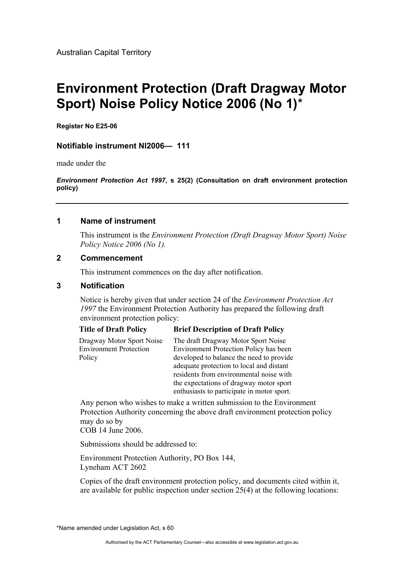# **Environment Protection (Draft Dragway Motor Sport) Noise Policy Notice 2006 (No 1)**\*

**Register No E25-06** 

## **Notifiable instrument NI2006— 111**

made under the

*Environment Protection Act 1997***, s 25(2) (Consultation on draft environment protection policy)**

### **1 Name of instrument**

This instrument is the *Environment Protection (Draft Dragway Motor Sport) Noise Policy Notice 2006 (No 1).* 

### **2 Commencement**

This instrument commences on the day after notification.

### **3 Notification**

Notice is hereby given that under section 24 of the *Environment Protection Act 1997* the Environment Protection Authority has prepared the following draft environment protection policy:

### **Title of Draft Policy Brief Description of Draft Policy**

| Dragway Motor Sport Noise     | The draft Dragway Motor Sport Noise           |
|-------------------------------|-----------------------------------------------|
| <b>Environment Protection</b> | <b>Environment Protection Policy has been</b> |
| Policy                        | developed to balance the need to provide      |
|                               | adequate protection to local and distant      |
|                               | residents from environmental noise with       |
|                               | the expectations of dragway motor sport       |
|                               | enthusiasts to participate in motor sport.    |

Any person who wishes to make a written submission to the Environment Protection Authority concerning the above draft environment protection policy may do so by COB 14 June 2006.

Submissions should be addressed to:

Environment Protection Authority, PO Box 144, Lyneham ACT 2602

Copies of the draft environment protection policy, and documents cited within it, are available for public inspection under section 25(4) at the following locations:

\*Name amended under Legislation Act, s 60